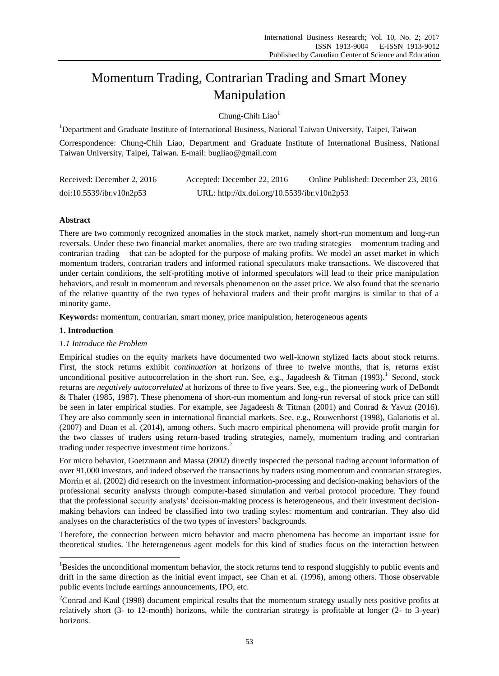# Momentum Trading, Contrarian Trading and Smart Money Manipulation

Chung-Chih Liao<sup>1</sup>

<sup>1</sup>Department and Graduate Institute of International Business, National Taiwan University, Taipei, Taiwan

Correspondence: Chung-Chih Liao, Department and Graduate Institute of International Business, National Taiwan University, Taipei, Taiwan. E-mail: bugliao@gmail.com

| Received: December 2, 2016 | Accepted: December 22, 2016                 | Online Published: December 23, 2016 |
|----------------------------|---------------------------------------------|-------------------------------------|
| doi:10.5539/ibr.v10n2p53   | URL: http://dx.doi.org/10.5539/ibr.v10n2p53 |                                     |

# **Abstract**

There are two commonly recognized anomalies in the stock market, namely short-run momentum and long-run reversals. Under these two financial market anomalies, there are two trading strategies – momentum trading and contrarian trading – that can be adopted for the purpose of making profits. We model an asset market in which momentum traders, contrarian traders and informed rational speculators make transactions. We discovered that under certain conditions, the self-profiting motive of informed speculators will lead to their price manipulation behaviors, and result in momentum and reversals phenomenon on the asset price. We also found that the scenario of the relative quantity of the two types of behavioral traders and their profit margins is similar to that of a minority game.

**Keywords:** momentum, contrarian, smart money, price manipulation, heterogeneous agents

# **1. Introduction**

 $\overline{a}$ 

# *1.1 Introduce the Problem*

Empirical studies on the equity markets have documented two well-known stylized facts about stock returns. First, the stock returns exhibit *continuation* at horizons of three to twelve months, that is, returns exist unconditional positive autocorrelation in the short run. See, e.g., Jagadeesh & Titman (1993).<sup>1</sup> Second, stock returns are *negatively autocorrelated* at horizons of three to five years. See, e.g., the pioneering work of DeBondt & Thaler (1985, 1987). These phenomena of short-run momentum and long-run reversal of stock price can still be seen in later empirical studies. For example, see Jagadeesh & Titman (2001) and Conrad & Yavuz (2016). They are also commonly seen in international financial markets. See, e.g., Rouwenhorst (1998), Galariotis et al. (2007) and Doan et al. (2014), among others. Such macro empirical phenomena will provide profit margin for the two classes of traders using return-based trading strategies, namely, momentum trading and contrarian trading under respective investment time horizons. 2

For micro behavior, Goetzmann and Massa (2002) directly inspected the personal trading account information of over 91,000 investors, and indeed observed the transactions by traders using momentum and contrarian strategies. Morrin et al. (2002) did research on the investment information-processing and decision-making behaviors of the professional security analysts through computer-based simulation and verbal protocol procedure. They found that the professional security analysts" decision-making process is heterogeneous, and their investment decisionmaking behaviors can indeed be classified into two trading styles: momentum and contrarian. They also did analyses on the characteristics of the two types of investors' backgrounds.

Therefore, the connection between micro behavior and macro phenomena has become an important issue for theoretical studies. The heterogeneous agent models for this kind of studies focus on the interaction between

<sup>&</sup>lt;sup>1</sup>Besides the unconditional momentum behavior, the stock returns tend to respond sluggishly to public events and drift in the same direction as the initial event impact, see Chan et al. (1996), among others. Those observable public events include earnings announcements, IPO, etc.

<sup>&</sup>lt;sup>2</sup>Conrad and Kaul (1998) document empirical results that the momentum strategy usually nets positive profits at relatively short (3- to 12-month) horizons, while the contrarian strategy is profitable at longer (2- to 3-year) horizons.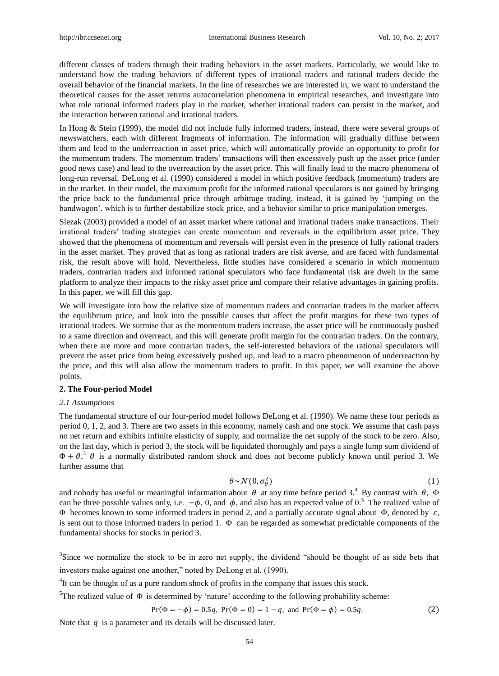different classes of traders through their trading behaviors in the asset markets. Particularly, we would like to understand how the trading behaviors of different types of irrational traders and rational traders decide the overall behavior of the financial markets. In the line of researches we are interested in, we want to understand the theoretical causes for the asset returns autocorrelation phenomena in empirical researches, and investigate into what role rational informed traders play in the market, whether irrational traders can persist in the market, and the interaction between rational and irrational traders.

In Hong & Stein (1999), the model did not include fully informed traders, instead, there were several groups of newswatchers, each with different fragments of information. The information will gradually diffuse between them and lead to the underreaction in asset price, which will automatically provide an opportunity to profit for the momentum traders. The momentum traders" transactions will then excessively push up the asset price (under good news case) and lead to the overreaction by the asset price. This will finally lead to the macro phenomena of long-run reversal. DeLong et al. (1990) considered a model in which positive feedback (momentum) traders are in the market. In their model, the maximum profit for the informed rational speculators is not gained by bringing the price back to the fundamental price through arbitrage trading, instead, it is gained by "jumping on the bandwagon", which is to further destabilize stock price, and a behavior similar to price manipulation emerges.

Slezak (2003) provided a model of an asset market where rational and irrational traders make transactions. Their irrational traders" trading strategies can create momentum and reversals in the equilibrium asset price. They showed that the phenomena of momentum and reversals will persist even in the presence of fully rational traders in the asset market. They proved that as long as rational traders are risk averse, and are faced with fundamental risk, the result above will hold. Nevertheless, little studies have considered a scenario in which momentum traders, contrarian traders and informed rational speculators who face fundamental risk are dwelt in the same platform to analyze their impacts to the risky asset price and compare their relative advantages in gaining profits. In this paper, we will fill this gap.

We will investigate into how the relative size of momentum traders and contrarian traders in the market affects the equilibrium price, and look into the possible causes that affect the profit margins for these two types of irrational traders. We surmise that as the momentum traders increase, the asset price will be continuously pushed to a same direction and overreact, and this will generate profit margin for the contrarian traders. On the contrary, when there are more and more contrarian traders, the self-interested behaviors of the rational speculators will prevent the asset price from being excessively pushed up, and lead to a macro phenomenon of underreaction by the price, and this will also allow the momentum traders to profit. In this paper, we will examine the above points.

## **2. The Four-period Model**

## *2.1 Assumptions*

l

The fundamental structure of our four-period model follows DeLong et al. (1990). We name these four periods as period 0, 1, 2, and 3. There are two assets in this economy, namely cash and one stock. We assume that cash pays no net return and exhibits infinite elasticity of supply, and normalize the net supply of the stock to be zero. Also, on the last day, which is period 3, the stock will be liquidated thoroughly and pays a single lump sum dividend of  $\Phi + \theta$ <sup>3</sup>  $\theta$  is a normally distributed random shock and does not become publicly known until period 3. We further assume that

$$
\theta \sim \mathcal{N}(0, \sigma_{\theta}^2) \tag{1}
$$

and nobody has useful or meaningful information about  $\theta$  at any time before period 3.<sup>4</sup> By contrast with  $\theta$ ,  $\Phi$ can be three possible values only, i.e.  $-\phi$ , 0, and  $\phi$ , and also has an expected value of 0.<sup>5</sup> The realized value of Φ becomes known to some informed traders in period 2, and a partially accurate signal about Φ, denoted by  $\varepsilon$ , is sent out to those informed traders in period 1. Φ can be regarded as somewhat predictable components of the fundamental shocks for stocks in period 3.

$$
Pr(\Phi = -\phi) = 0.5q, Pr(\Phi = 0) = 1 - q, and Pr(\Phi = \phi) = 0.5q.
$$
 (2)

Note that  $q$  is a parameter and its details will be discussed later.

 $3$ Since we normalize the stock to be in zero net supply, the dividend "should be thought of as side bets that investors make against one another," noted by DeLong et al. (1990).

 ${}^{4}$ It can be thought of as a pure random shock of profits in the company that issues this stock.

<sup>&</sup>lt;sup>5</sup>The realized value of Φ is determined by 'nature' according to the following probability scheme: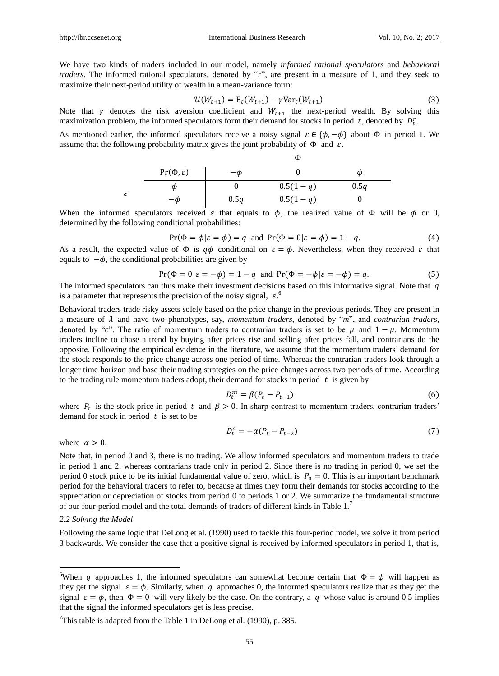We have two kinds of traders included in our model, namely *informed rational speculators* and *behavioral traders*. The informed rational speculators, denoted by "*r*", are present in a measure of 1, and they seek to maximize their next-period utility of wealth in a mean-variance form:

$$
\mathcal{U}(W_{t+1}) = \mathcal{E}_t(W_{t+1}) - \gamma \text{Var}_t(W_{t+1})
$$
\n(3)

Note that  $\gamma$  denotes the risk aversion coefficient and  $W_{t+1}$  the next-period wealth. By solving this maximization problem, the informed speculators form their demand for stocks in period t, denoted by  $D_t^r$ .

As mentioned earlier, the informed speculators receive a noisy signal  $\varepsilon \in \{\phi, -\phi\}$  about  $\Phi$  in period 1. We assume that the following probability matrix gives the joint probability of  $\Phi$  and  $\varepsilon$ .

|   |                         | $\sim$     |            |      |  |
|---|-------------------------|------------|------------|------|--|
|   | $Pr(\Phi, \varepsilon)$ | $-\varphi$ |            | Φ    |  |
| ε | ω                       |            | $0.5(1-q)$ | 0.5q |  |
|   | $-\omega$               | 0.5q       | $0.5(1-q)$ |      |  |

When the informed speculators received  $\varepsilon$  that equals to  $\phi$ , the realized value of  $\Phi$  will be  $\phi$  or 0, determined by the following conditional probabilities:

$$
Pr(\Phi = \phi | \varepsilon = \phi) = q \text{ and } Pr(\Phi = 0 | \varepsilon = \phi) = 1 - q. \tag{4}
$$

Φ

As a result, the expected value of  $\Phi$  is  $q\phi$  conditional on  $\varepsilon = \phi$ . Nevertheless, when they received  $\varepsilon$  that equals to  $-\phi$ , the conditional probabilities are given by

$$
\Pr(\Phi = 0 | \varepsilon = -\phi) = 1 - q \text{ and } \Pr(\Phi = -\phi | \varepsilon = -\phi) = q. \tag{5}
$$

The informed speculators can thus make their investment decisions based on this informative signal. Note that  $q$ is a parameter that represents the precision of the noisy signal,  $\varepsilon$ .

Behavioral traders trade risky assets solely based on the price change in the previous periods. They are present in a measure of  $\lambda$  and have two phenotypes, say, *momentum traders*, denoted by "*m*", and *contrarian traders*, denoted by "*c*". The ratio of momentum traders to contrarian traders is set to be  $\mu$  and  $1 - \mu$ . Momentum traders incline to chase a trend by buying after prices rise and selling after prices fall, and contrarians do the opposite. Following the empirical evidence in the literature, we assume that the momentum traders" demand for the stock responds to the price change across one period of time. Whereas the contrarian traders look through a longer time horizon and base their trading strategies on the price changes across two periods of time. According to the trading rule momentum traders adopt, their demand for stocks in period  $t$  is given by

$$
D_t^m = \beta (P_t - P_{t-1}) \tag{6}
$$

where  $P_t$  is the stock price in period t and  $\beta > 0$ . In sharp contrast to momentum traders, contrarian traders' demand for stock in period  $t$  is set to be

$$
D_t^c = -\alpha (P_t - P_{t-2})
$$
\n<sup>(7)</sup>

where  $\alpha > 0$ .

Note that, in period 0 and 3, there is no trading. We allow informed speculators and momentum traders to trade in period 1 and 2, whereas contrarians trade only in period 2. Since there is no trading in period 0, we set the period 0 stock price to be its initial fundamental value of zero, which is  $P_0 = 0$ . This is an important benchmark period for the behavioral traders to refer to, because at times they form their demands for stocks according to the appreciation or depreciation of stocks from period 0 to periods 1 or 2. We summarize the fundamental structure of our four-period model and the total demands of traders of different kinds in Table 1.<sup>7</sup>

# *2.2 Solving the Model*

 $\overline{a}$ 

Following the same logic that DeLong et al. (1990) used to tackle this four-period model, we solve it from period 3 backwards. We consider the case that a positive signal is received by informed speculators in period 1, that is,

<sup>&</sup>lt;sup>6</sup>When q approaches 1, the informed speculators can somewhat become certain that  $\Phi = \phi$  will happen as they get the signal  $\varepsilon = \phi$ . Similarly, when q approaches 0, the informed speculators realize that as they get the signal  $\varepsilon = \phi$ , then  $\Phi = 0$  will very likely be the case. On the contrary, a q whose value is around 0.5 implies that the signal the informed speculators get is less precise.

<sup>&</sup>lt;sup>7</sup>This table is adapted from the Table 1 in DeLong et al. (1990), p. 385.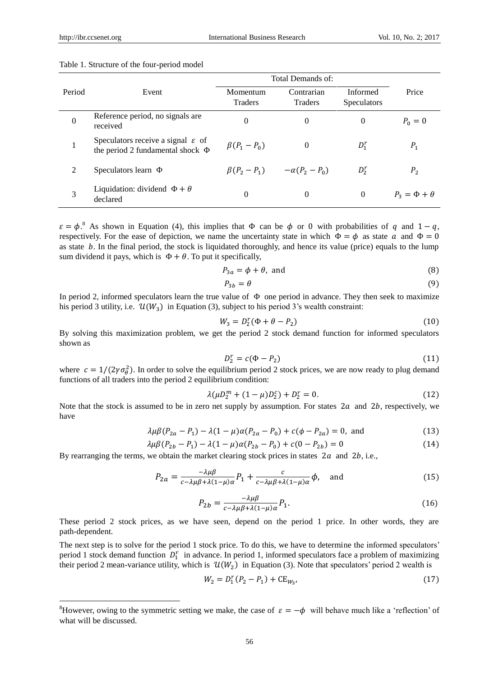l

| Table 1. Structure of the four-period model |  |  |  |
|---------------------------------------------|--|--|--|
|---------------------------------------------|--|--|--|

|                |                                                                                        | Total Demands of:   |                       |                                |                       |
|----------------|----------------------------------------------------------------------------------------|---------------------|-----------------------|--------------------------------|-----------------------|
| Period         | Event                                                                                  | Momentum<br>Traders | Contrarian<br>Traders | Informed<br><b>Speculators</b> | Price                 |
| $\overline{0}$ | Reference period, no signals are<br>received                                           | $\Omega$            | 0                     | $\Omega$                       | $P_0 = 0$             |
|                | Speculators receive a signal $\varepsilon$ of<br>the period 2 fundamental shock $\Phi$ | $\beta(P_1-P_0)$    | $\Omega$              | $D_1^r$                        | $P_1$                 |
| 2              | Speculators learn $\Phi$                                                               | $\beta(P_2-P_1)$    | $-\alpha(P_2-P_0)$    | $D_2^r$                        | P <sub>2</sub>        |
| 3              | Liquidation: dividend $\Phi + \theta$<br>declared                                      | $\Omega$            | $\theta$              | $\Omega$                       | $P_3 = \Phi + \theta$ |

 $\varepsilon = \phi$ .<sup>8</sup> As shown in Equation (4), this implies that  $\Phi$  can be  $\phi$  or 0 with probabilities of q and  $1 - q$ , respectively. For the ease of depiction, we name the uncertainty state in which  $\Phi = \phi$  as state  $\alpha$  and  $\Phi = 0$ as state  $b$ . In the final period, the stock is liquidated thoroughly, and hence its value (price) equals to the lump sum dividend it pays, which is  $\Phi + \theta$ . To put it specifically,

$$
P_{3a} = \phi + \theta, \text{ and} \tag{8}
$$

$$
P_{3b} = \theta \tag{9}
$$

In period 2, informed speculators learn the true value of  $\Phi$  one period in advance. They then seek to maximize his period 3 utility, i.e.  $\mathcal{U}(W_3)$  in Equation (3), subject to his period 3's wealth constraint:

$$
W_3 = D_2^r(\Phi + \theta - P_2) \tag{10}
$$

By solving this maximization problem, we get the period 2 stock demand function for informed speculators shown as

$$
D_2^r = c(\Phi - P_2) \tag{11}
$$

where  $c = 1/(2\gamma \sigma_\theta^2)$ . In order to solve the equilibrium period 2 stock prices, we are now ready to plug demand functions of all traders into the period 2 equilibrium condition:

$$
\lambda(\mu D_2^m + (1 - \mu)D_2^c) + D_2^r = 0. \tag{12}
$$

Note that the stock is assumed to be in zero net supply by assumption. For states  $2a$  and  $2b$ , respectively, we have

$$
\lambda \mu \beta (P_{2a} - P_1) - \lambda (1 - \mu) \alpha (P_{2a} - P_0) + c(\phi - P_{2a}) = 0, \text{ and} \tag{13}
$$

$$
\lambda \mu \beta (P_{2b} - P_1) - \lambda (1 - \mu) \alpha (P_{2b} - P_0) + c(0 - P_{2b}) = 0
$$
\n(14)

By rearranging the terms, we obtain the market clearing stock prices in states  $2a$  and  $2b$ , i.e.,

$$
P_{2a} = \frac{-\lambda \mu \beta}{c - \lambda \mu \beta + \lambda (1 - \mu)\alpha} P_1 + \frac{c}{c - \lambda \mu \beta + \lambda (1 - \mu)\alpha} \phi, \text{ and } (15)
$$

$$
P_{2b} = \frac{-\lambda \mu \beta}{c - \lambda \mu \beta + \lambda (1 - \mu) \alpha} P_1.
$$
\n(16)

These period 2 stock prices, as we have seen, depend on the period 1 price. In other words, they are path-dependent.

The next step is to solve for the period 1 stock price. To do this, we have to determine the informed speculators' period 1 stock demand function  $D_1^r$  in advance. In period 1, informed speculators face a problem of maximizing their period 2 mean-variance utility, which is  $\mathcal{U}(W_2)$  in Equation (3). Note that speculators' period 2 wealth is

$$
W_2 = D_1^r (P_2 - P_1) + C E_{W_3}, \tag{17}
$$

<sup>&</sup>lt;sup>8</sup>However, owing to the symmetric setting we make, the case of  $\varepsilon = -\phi$  will behave much like a 'reflection' of what will be discussed.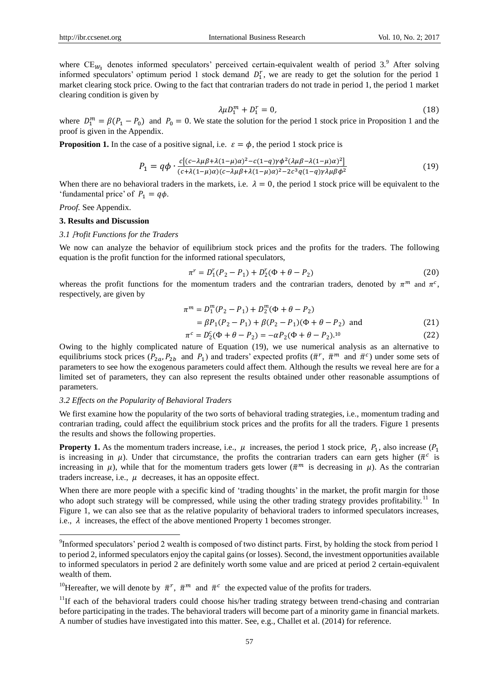where  $CE_{W_3}$  denotes informed speculators' perceived certain-equivalent wealth of period 3.<sup>9</sup> After solving informed speculators' optimum period 1 stock demand  $D_1^r$ , we are ready to get the solution for the period 1 market clearing stock price. Owing to the fact that contrarian traders do not trade in period 1, the period 1 market clearing condition is given by

$$
\lambda \mu D_1^m + D_1^r = 0,\t(18)
$$

where  $D_1^m = \beta(P_1 - P_0)$  and  $P_0 = 0$ . We state the solution for the period 1 stock price in Proposition 1 and the proof is given in the Appendix.

**Proposition 1.** In the case of a positive signal, i.e.  $\varepsilon = \phi$ , the period 1 stock price is

$$
P_1 = q\phi \cdot \frac{c[(c-\lambda\mu\beta + \lambda(1-\mu)\alpha)^2 - c(1-q)\gamma\phi^2(\lambda\mu\beta - \lambda(1-\mu)\alpha)^2]}{(c+\lambda(1-\mu)\alpha)(c-\lambda\mu\beta + \lambda(1-\mu)\alpha)^2 - 2c^3q(1-q)\gamma\lambda\mu\beta\phi^2}
$$
(19)

When there are no behavioral traders in the markets, i.e.  $\lambda = 0$ , the period 1 stock price will be equivalent to the 'fundamental price' of  $P_1 = q\phi$ .

*Proof.* See Appendix.

 $\overline{a}$ 

# **3. Results and Discussion**

### *3.1* P*rofit Functions for the Traders*

We now can analyze the behavior of equilibrium stock prices and the profits for the traders. The following equation is the profit function for the informed rational speculators,

$$
\pi^r = D_1^r (P_2 - P_1) + D_2^r (\Phi + \theta - P_2)
$$
\n(20)

whereas the profit functions for the momentum traders and the contrarian traders, denoted by  $\pi^m$  and  $\pi^c$ , respectively, are given by

$$
\pi^{m} = D_{1}^{m}(P_{2} - P_{1}) + D_{2}^{m}(\Phi + \theta - P_{2})
$$
  
\n
$$
= \beta P_{1}(P_{2} - P_{1}) + \beta (P_{2} - P_{1})(\Phi + \theta - P_{2}) \text{ and}
$$
  
\n
$$
\pi^{c} = D_{2}^{c}(\Phi + \theta - P_{2}) = -\alpha P_{2}(\Phi + \theta - P_{2}).^{10}
$$
\n(22)

Owing to the highly complicated nature of Equation (19), we use numerical analysis as an alternative to equilibriums stock prices  $(P_{2a}, P_{2b}$  and  $P_1$ ) and traders' expected profits  $(\bar{\pi}^r, \bar{\pi}^m$  and  $\bar{\pi}^c$ ) under some sets of parameters to see how the exogenous parameters could affect them. Although the results we reveal here are for a limited set of parameters, they can also represent the results obtained under other reasonable assumptions of parameters.

#### *3.2 Effects on the Popularity of Behavioral Traders*

We first examine how the popularity of the two sorts of behavioral trading strategies, i.e., momentum trading and contrarian trading, could affect the equilibrium stock prices and the profits for all the traders. Figure 1 presents the results and shows the following properties.

**Property 1.** As the momentum traders increase, i.e.,  $\mu$  increases, the period 1 stock price,  $P_1$ , also increase ( $P_1$ ) is increasing in  $\mu$ ). Under that circumstance, the profits the contrarian traders can earn gets higher ( $\bar{\pi}^c$  is increasing in  $\mu$ ), while that for the momentum traders gets lower ( $\bar{\pi}^m$  is decreasing in  $\mu$ ). As the contrarian traders increase, i.e.,  $\mu$  decreases, it has an opposite effect.

When there are more people with a specific kind of 'trading thoughts' in the market, the profit margin for those who adopt such strategy will be compressed, while using the other trading strategy provides profitability.<sup>11</sup> In Figure 1, we can also see that as the relative popularity of behavioral traders to informed speculators increases, i.e.,  $\lambda$  increases, the effect of the above mentioned Property 1 becomes stronger.

<sup>&</sup>lt;sup>9</sup>Informed speculators' period 2 wealth is composed of two distinct parts. First, by holding the stock from period 1 to period 2, informed speculators enjoy the capital gains (or losses). Second, the investment opportunities available to informed speculators in period 2 are definitely worth some value and are priced at period 2 certain-equivalent wealth of them.

<sup>&</sup>lt;sup>10</sup>Hereafter, we will denote by  $\bar{\pi}^r$ ,  $\bar{\pi}^m$  and  $\bar{\pi}^c$  the expected value of the profits for traders.

 $11$ If each of the behavioral traders could choose his/her trading strategy between trend-chasing and contrarian before participating in the trades. The behavioral traders will become part of a minority game in financial markets. A number of studies have investigated into this matter. See, e.g., Challet et al. (2014) for reference.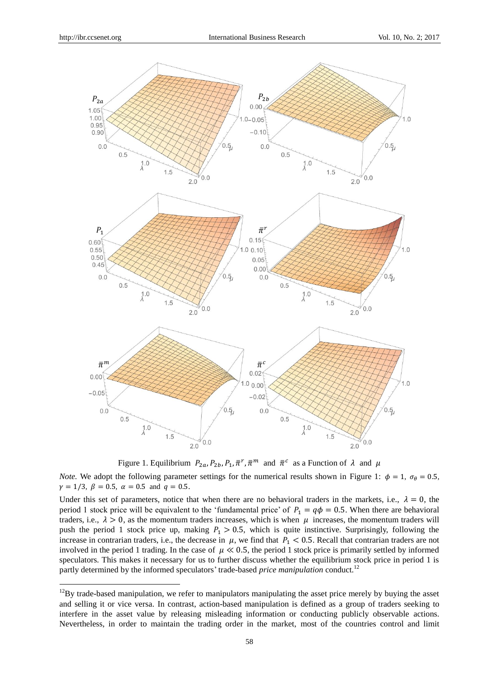$\overline{a}$ 



Figure 1. Equilibrium  $P_{2a}$ ,  $P_{2b}$ ,  $P_1$ ,  $\bar{\pi}^r$ ,  $\bar{\pi}^m$  and  $\bar{\pi}^c$  as a Function of  $\lambda$  and  $\mu$ 

*Note.* We adopt the following parameter settings for the numerical results shown in Figure 1:  $\phi = 1$ ,  $\sigma_{\theta} = 0.5$ ,  $\gamma = 1/3$ ,  $\beta = 0.5$ ,  $\alpha = 0.5$  and  $q = 0.5$ .

Under this set of parameters, notice that when there are no behavioral traders in the markets, i.e.,  $\lambda = 0$ , the period 1 stock price will be equivalent to the 'fundamental price' of  $P_1 = q\phi = 0.5$ . When there are behavioral traders, i.e.,  $\lambda > 0$ , as the momentum traders increases, which is when  $\mu$  increases, the momentum traders will push the period 1 stock price up, making  $P_1 > 0.5$ , which is quite instinctive. Surprisingly, following the increase in contrarian traders, i.e., the decrease in  $\mu$ , we find that  $P_1 < 0.5$ . Recall that contrarian traders are not involved in the period 1 trading. In the case of  $\mu \ll 0.5$ , the period 1 stock price is primarily settled by informed speculators. This makes it necessary for us to further discuss whether the equilibrium stock price in period 1 is partly determined by the informed speculators' trade-based *price manipulation* conduct.<sup>12</sup>

 $12$ By trade-based manipulation, we refer to manipulators manipulating the asset price merely by buying the asset and selling it or vice versa. In contrast, action-based manipulation is defined as a group of traders seeking to interfere in the asset value by releasing misleading information or conducting publicly observable actions. Nevertheless, in order to maintain the trading order in the market, most of the countries control and limit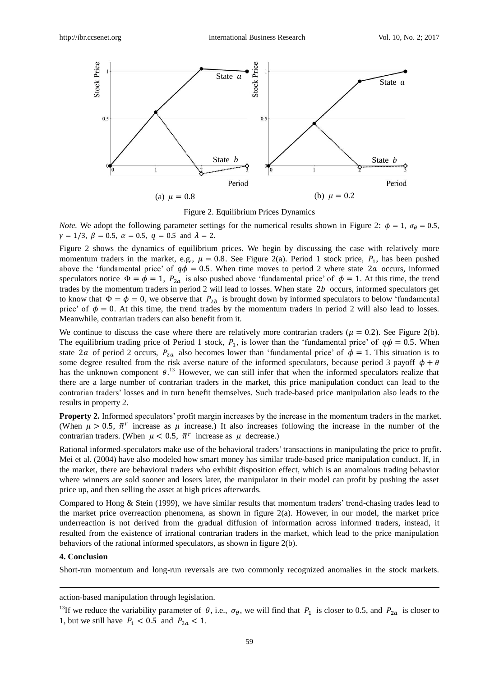

Figure 2. Equilibrium Prices Dynamics

*Note.* We adopt the following parameter settings for the numerical results shown in Figure 2:  $\phi = 1$ ,  $\sigma_{\theta} = 0.5$ ,  $\gamma = 1/3$ ,  $\beta = 0.5$ ,  $\alpha = 0.5$ ,  $q = 0.5$  and  $\lambda = 2$ .

Figure 2 shows the dynamics of equilibrium prices. We begin by discussing the case with relatively more momentum traders in the market, e.g.,  $\mu = 0.8$ . See Figure 2(a). Period 1 stock price,  $P_1$ , has been pushed above the 'fundamental price' of  $q\phi = 0.5$ . When time moves to period 2 where state 2*a* occurs, informed speculators notice  $\Phi = \phi = 1$ ,  $P_{2a}$  is also pushed above 'fundamental price' of  $\phi = 1$ . At this time, the trend trades by the momentum traders in period  $2$  will lead to losses. When state  $2b$  occurs, informed speculators get to know that  $\Phi = \phi = 0$ , we observe that  $P_{2b}$  is brought down by informed speculators to below 'fundamental price' of  $\phi = 0$ . At this time, the trend trades by the momentum traders in period 2 will also lead to losses. Meanwhile, contrarian traders can also benefit from it.

We continue to discuss the case where there are relatively more contrarian traders ( $\mu = 0.2$ ). See Figure 2(b). The equilibrium trading price of Period 1 stock,  $P_1$ , is lower than the 'fundamental price' of  $q\phi = 0.5$ . When state 2*a* of period 2 occurs,  $P_{2a}$  also becomes lower than 'fundamental price' of  $\phi = 1$ . This situation is to some degree resulted from the risk averse nature of the informed speculators, because period 3 payoff  $\phi + \theta$ has the unknown component  $\theta$ .<sup>13</sup> However, we can still infer that when the informed speculators realize that there are a large number of contrarian traders in the market, this price manipulation conduct can lead to the contrarian traders" losses and in turn benefit themselves. Such trade-based price manipulation also leads to the results in property 2.

**Property 2.** Informed speculators' profit margin increases by the increase in the momentum traders in the market. (When  $\mu > 0.5$ ,  $\bar{\pi}^r$  increase as  $\mu$  increase.) It also increases following the increase in the number of the contrarian traders. (When  $\mu < 0.5$ ,  $\bar{\pi}^r$  increase as  $\mu$  decrease.)

Rational informed-speculators make use of the behavioral traders" transactions in manipulating the price to profit. Mei et al. (2004) have also modeled how smart money has similar trade-based price manipulation conduct. If, in the market, there are behavioral traders who exhibit disposition effect, which is an anomalous trading behavior where winners are sold sooner and losers later, the manipulator in their model can profit by pushing the asset price up, and then selling the asset at high prices afterwards.

Compared to Hong & Stein (1999), we have similar results that momentum traders" trend-chasing trades lead to the market price overreaction phenomena, as shown in figure 2(a). However, in our model, the market price underreaction is not derived from the gradual diffusion of information across informed traders, instead, it resulted from the existence of irrational contrarian traders in the market, which lead to the price manipulation behaviors of the rational informed speculators, as shown in figure 2(b).

## **4. Conclusion**

 $\overline{a}$ 

Short-run momentum and long-run reversals are two commonly recognized anomalies in the stock markets.

action-based manipulation through legislation.

<sup>13</sup>If we reduce the variability parameter of  $\theta$ , i.e.,  $\sigma_{\theta}$ , we will find that  $P_1$  is closer to 0.5, and  $P_{2a}$  is closer to 1, but we still have  $P_1 < 0.5$  and  $P_{2a} < 1$ .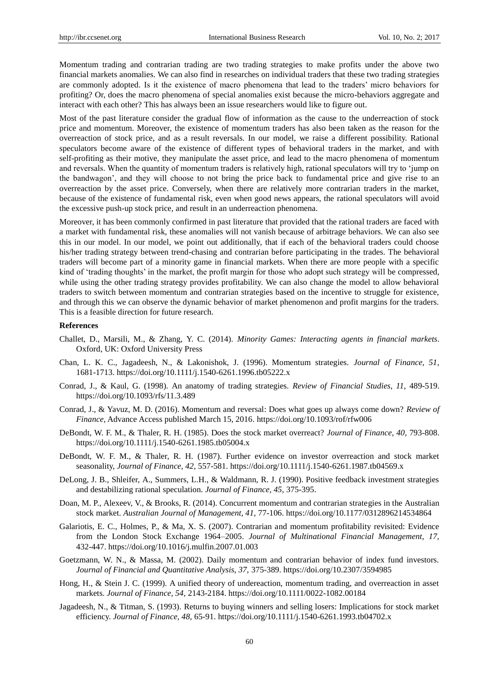Momentum trading and contrarian trading are two trading strategies to make profits under the above two financial markets anomalies. We can also find in researches on individual traders that these two trading strategies are commonly adopted. Is it the existence of macro phenomena that lead to the traders" micro behaviors for profiting? Or, does the macro phenomena of special anomalies exist because the micro-behaviors aggregate and interact with each other? This has always been an issue researchers would like to figure out.

Most of the past literature consider the gradual flow of information as the cause to the underreaction of stock price and momentum. Moreover, the existence of momentum traders has also been taken as the reason for the overreaction of stock price, and as a result reversals. In our model, we raise a different possibility. Rational speculators become aware of the existence of different types of behavioral traders in the market, and with self-profiting as their motive, they manipulate the asset price, and lead to the macro phenomena of momentum and reversals. When the quantity of momentum traders is relatively high, rational speculators will try to "jump on the bandwagon", and they will choose to not bring the price back to fundamental price and give rise to an overreaction by the asset price. Conversely, when there are relatively more contrarian traders in the market, because of the existence of fundamental risk, even when good news appears, the rational speculators will avoid the excessive push-up stock price, and result in an underreaction phenomena.

Moreover, it has been commonly confirmed in past literature that provided that the rational traders are faced with a market with fundamental risk, these anomalies will not vanish because of arbitrage behaviors. We can also see this in our model. In our model, we point out additionally, that if each of the behavioral traders could choose his/her trading strategy between trend-chasing and contrarian before participating in the trades. The behavioral traders will become part of a minority game in financial markets. When there are more people with a specific kind of 'trading thoughts' in the market, the profit margin for those who adopt such strategy will be compressed, while using the other trading strategy provides profitability. We can also change the model to allow behavioral traders to switch between momentum and contrarian strategies based on the incentive to struggle for existence, and through this we can observe the dynamic behavior of market phenomenon and profit margins for the traders. This is a feasible direction for future research.

#### **References**

- Challet, D., Marsili, M., & Zhang, Y. C. (2014). *Minority Games: Interacting agents in financial markets*. Oxford, UK: Oxford University Press
- Chan, L. K. C., Jagadeesh, N., & Lakonishok, J. (1996). Momentum strategies. *Journal of Finance, 51,*  1681-1713. <https://doi.org/10.1111/j.1540-6261.1996.tb05222.x>
- Conrad, J., & Kaul, G. (1998). An anatomy of trading strategies. *Review of Financial Studies, 11,* 489-519. <https://doi.org/10.1093/rfs/11.3.489>
- Conrad, J., & Yavuz, M. D. (2016). Momentum and reversal: Does what goes up always come down? *Review of Finance*, Advance Access published March 15, 2016. <https://doi.org/10.1093/rof/rfw006>
- DeBondt, W. F. M., & Thaler, R. H. (1985). Does the stock market overreact? *Journal of Finance, 40,* 793-808. <https://doi.org/10.1111/j.1540-6261.1985.tb05004.x>
- DeBondt, W. F. M., & Thaler, R. H. (1987). Further evidence on investor overreaction and stock market seasonality, *Journal of Finance, 42,* 557-581. <https://doi.org/10.1111/j.1540-6261.1987.tb04569.x>
- DeLong, J. B., Shleifer, A., Summers, L.H., & Waldmann, R. J. (1990). Positive feedback investment strategies and destabilizing rational speculation. *Journal of Finance, 45,* 375-395.
- Doan, M. P., Alexeev, V., & Brooks, R. (2014). Concurrent momentum and contrarian strategies in the Australian stock market. *Australian Journal of Management, 41,* 77-106. <https://doi.org/10.1177/0312896214534864>
- Galariotis, E. C., Holmes, P., & Ma, X. S. (2007). Contrarian and momentum profitability revisited: Evidence from the London Stock Exchange 1964–2005. *Journal of Multinational Financial Management, 17,*  432-447. <https://doi.org/10.1016/j.mulfin.2007.01.003>
- Goetzmann, W. N., & Massa, M. (2002). Daily momentum and contrarian behavior of index fund investors. *Journal of Financial and Quantitative Analysis, 37,* 375-389. <https://doi.org/10.2307/3594985>
- Hong, H., & Stein J. C. (1999). A unified theory of undereaction, momentum trading, and overreaction in asset markets. *Journal of Finance, 54,* 2143-2184. <https://doi.org/10.1111/0022-1082.00184>
- Jagadeesh, N., & Titman, S. (1993). Returns to buying winners and selling losers: Implications for stock market efficiency. *Journal of Finance, 48,* 65-91. <https://doi.org/10.1111/j.1540-6261.1993.tb04702.x>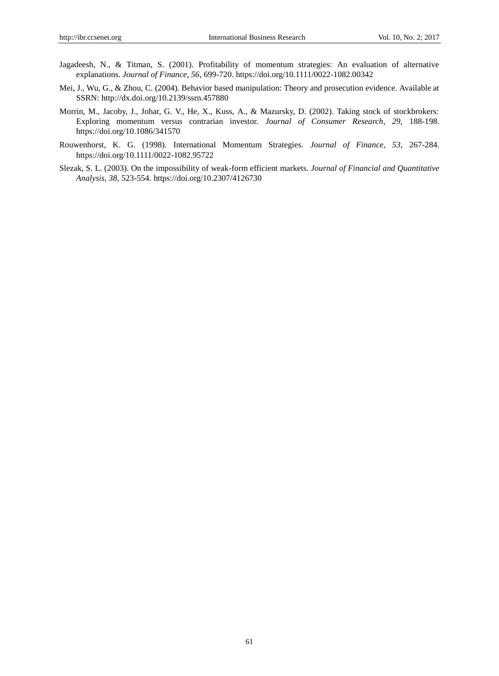- Jagadeesh, N., & Titman, S. (2001). Profitability of momentum strategies: An evaluation of alternative explanations. *Journal of Finance, 56*, 699-720. <https://doi.org/10.1111/0022-1082.00342>
- Mei, J., Wu, G., & Zhou, C. (2004). Behavior based manipulation: Theory and prosecution evidence. Available at SSRN:<http://dx.doi.org/10.2139/ssrn.457880>
- Morrin, M., Jacoby, J., Johar, G. V., He, X., Kuss, A., & Mazursky, D. (2002). Taking stock of stockbrokers: Exploring momentum versus contrarian investor. *Journal of Consumer Research, 29,* 188-198. <https://doi.org/10.1086/341570>
- Rouwenhorst, K. G. (1998). International Momentum Strategies. *Journal of Finance, 53,* 267-284. <https://doi.org/10.1111/0022-1082.95722>
- Slezak, S. L. (2003). On the impossibility of weak-form efficient markets. *Journal of Financial and Quantitative Analysis, 38,* 523-554. <https://doi.org/10.2307/4126730>